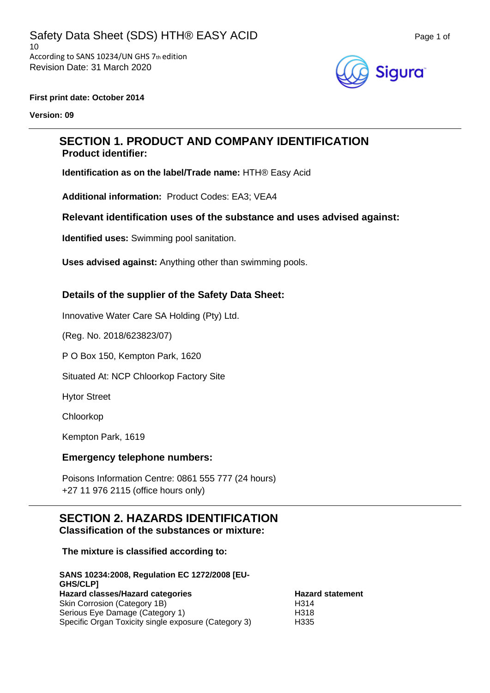

#### **First print date: October 2014**

**Version: 09**

# **SECTION 1. PRODUCT AND COMPANY IDENTIFICATION Product identifier:**

**Identification as on the label/Trade name:** HTH® Easy Acid

**Additional information:** Product Codes: EA3; VEA4

### **Relevant identification uses of the substance and uses advised against:**

**Identified uses:** Swimming pool sanitation.

**Uses advised against:** Anything other than swimming pools.

### **Details of the supplier of the Safety Data Sheet:**

Innovative Water Care SA Holding (Pty) Ltd.

(Reg. No. 2018/623823/07)

P O Box 150, Kempton Park, 1620

Situated At: NCP Chloorkop Factory Site

Hytor Street

Chloorkop

Kempton Park, 1619

### **Emergency telephone numbers:**

Poisons Information Centre: 0861 555 777 (24 hours) +27 11 976 2115 (office hours only)

# **SECTION 2. HAZARDS IDENTIFICATION Classification of the substances or mixture:**

### **The mixture is classified according to:**

| SANS 10234:2008, Regulation EC 1272/2008 [EU-<br><b>GHS/CLPI</b> |                         |
|------------------------------------------------------------------|-------------------------|
| Hazard classes/Hazard categories                                 | <b>Hazard statement</b> |
| Skin Corrosion (Category 1B)                                     | H <sub>3</sub> 14       |
| Serious Eye Damage (Category 1)                                  | H318                    |
| Specific Organ Toxicity single exposure (Category 3)             | H335                    |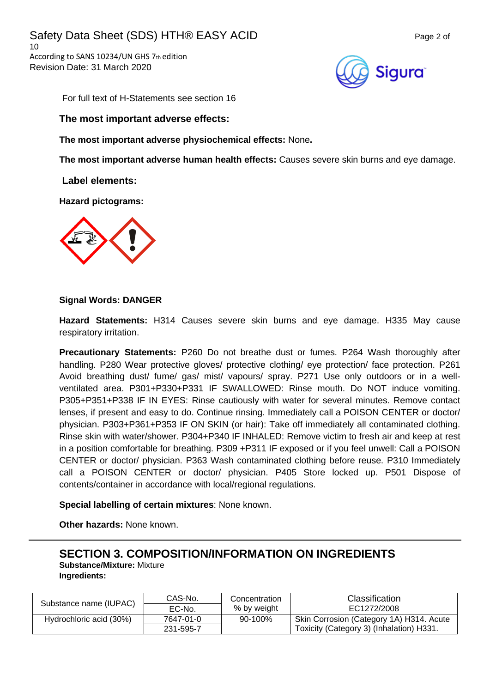Safety Data Sheet (SDS) HTH® EASY ACID Page 2 of 10 According to SANS 10234/UN GHS 7th edition Revision Date: 31 March 2020



For full text of H-Statements see section 16

### **The most important adverse effects:**

**The most important adverse physiochemical effects:** None**.**

**The most important adverse human health effects:** Causes severe skin burns and eye damage.

**Label elements:**

**Hazard pictograms:**



### **Signal Words: DANGER**

**Hazard Statements:** H314 Causes severe skin burns and eye damage. H335 May cause respiratory irritation.

**Precautionary Statements:** P260 Do not breathe dust or fumes. P264 Wash thoroughly after handling. P280 Wear protective gloves/ protective clothing/ eye protection/ face protection. P261 Avoid breathing dust/ fume/ gas/ mist/ vapours/ spray. P271 Use only outdoors or in a wellventilated area. P301+P330+P331 IF SWALLOWED: Rinse mouth. Do NOT induce vomiting. P305+P351+P338 IF IN EYES: Rinse cautiously with water for several minutes. Remove contact lenses, if present and easy to do. Continue rinsing. Immediately call a POISON CENTER or doctor/ physician. P303+P361+P353 IF ON SKIN (or hair): Take off immediately all contaminated clothing. Rinse skin with water/shower. P304+P340 IF INHALED: Remove victim to fresh air and keep at rest in a position comfortable for breathing. P309 +P311 IF exposed or if you feel unwell: Call a POISON CENTER or doctor/ physician. P363 Wash contaminated clothing before reuse. P310 Immediately call a POISON CENTER or doctor/ physician. P405 Store locked up. P501 Dispose of contents/container in accordance with local/regional regulations.

**Special labelling of certain mixtures**: None known.

**Other hazards:** None known.

# **SECTION 3. COMPOSITION/INFORMATION ON INGREDIENTS**

**Substance/Mixture:** Mixture **Ingredients:**

|                         | CAS-No.   | Concentration | Classification                           |
|-------------------------|-----------|---------------|------------------------------------------|
| Substance name (IUPAC)  | EC-No.    | % by weight   | EC1272/2008                              |
| Hydrochloric acid (30%) | 7647-01-0 | $90-100\%$    | Skin Corrosion (Category 1A) H314. Acute |
|                         | 231-595-7 |               | Toxicity (Category 3) (Inhalation) H331. |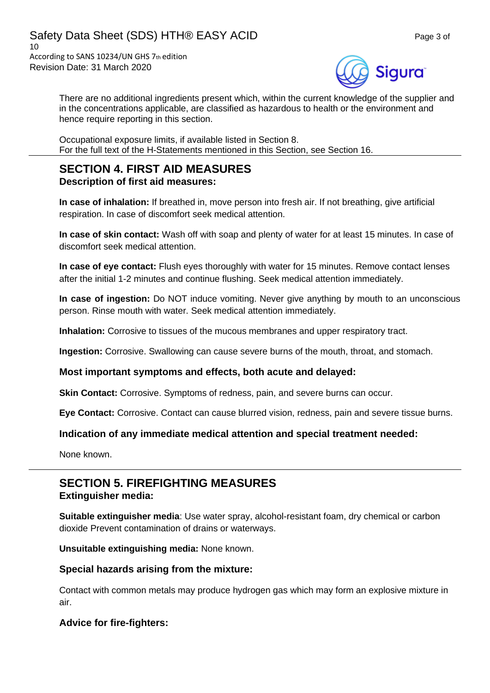

There are no additional ingredients present which, within the current knowledge of the supplier and in the concentrations applicable, are classified as hazardous to health or the environment and hence require reporting in this section.

Occupational exposure limits, if available listed in Section 8. For the full text of the H-Statements mentioned in this Section, see Section 16.

# **SECTION 4. FIRST AID MEASURES Description of first aid measures:**

**In case of inhalation:** If breathed in, move person into fresh air. If not breathing, give artificial respiration. In case of discomfort seek medical attention.

**In case of skin contact:** Wash off with soap and plenty of water for at least 15 minutes. In case of discomfort seek medical attention.

**In case of eye contact:** Flush eyes thoroughly with water for 15 minutes. Remove contact lenses after the initial 1-2 minutes and continue flushing. Seek medical attention immediately.

**In case of ingestion:** Do NOT induce vomiting. Never give anything by mouth to an unconscious person. Rinse mouth with water. Seek medical attention immediately.

**Inhalation:** Corrosive to tissues of the mucous membranes and upper respiratory tract.

**Ingestion:** Corrosive. Swallowing can cause severe burns of the mouth, throat, and stomach.

### **Most important symptoms and effects, both acute and delayed:**

**Skin Contact:** Corrosive. Symptoms of redness, pain, and severe burns can occur.

**Eye Contact:** Corrosive. Contact can cause blurred vision, redness, pain and severe tissue burns.

### **Indication of any immediate medical attention and special treatment needed:**

None known.

# **SECTION 5. FIREFIGHTING MEASURES Extinguisher media:**

**Suitable extinguisher media**: Use water spray, alcohol-resistant foam, dry chemical or carbon dioxide Prevent contamination of drains or waterways.

**Unsuitable extinguishing media:** None known.

### **Special hazards arising from the mixture:**

Contact with common metals may produce hydrogen gas which may form an explosive mixture in air.

### **Advice for fire-fighters:**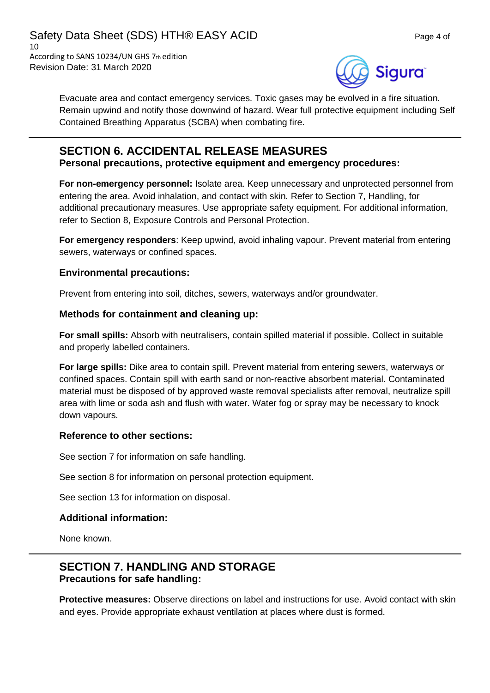

Evacuate area and contact emergency services. Toxic gases may be evolved in a fire situation. Remain upwind and notify those downwind of hazard. Wear full protective equipment including Self Contained Breathing Apparatus (SCBA) when combating fire.

# **SECTION 6. ACCIDENTAL RELEASE MEASURES**

**Personal precautions, protective equipment and emergency procedures:**

**For non-emergency personnel:** Isolate area. Keep unnecessary and unprotected personnel from entering the area. Avoid inhalation, and contact with skin. Refer to Section 7, Handling, for additional precautionary measures. Use appropriate safety equipment. For additional information, refer to Section 8, Exposure Controls and Personal Protection.

**For emergency responders**: Keep upwind, avoid inhaling vapour. Prevent material from entering sewers, waterways or confined spaces.

# **Environmental precautions:**

Prevent from entering into soil, ditches, sewers, waterways and/or groundwater.

### **Methods for containment and cleaning up:**

**For small spills:** Absorb with neutralisers, contain spilled material if possible. Collect in suitable and properly labelled containers.

**For large spills:** Dike area to contain spill. Prevent material from entering sewers, waterways or confined spaces. Contain spill with earth sand or non-reactive absorbent material. Contaminated material must be disposed of by approved waste removal specialists after removal, neutralize spill area with lime or soda ash and flush with water. Water fog or spray may be necessary to knock down vapours.

### **Reference to other sections:**

See section 7 for information on safe handling.

See section 8 for information on personal protection equipment.

See section 13 for information on disposal.

# **Additional information:**

None known.

# **SECTION 7. HANDLING AND STORAGE Precautions for safe handling:**

**Protective measures:** Observe directions on label and instructions for use. Avoid contact with skin and eyes. Provide appropriate exhaust ventilation at places where dust is formed.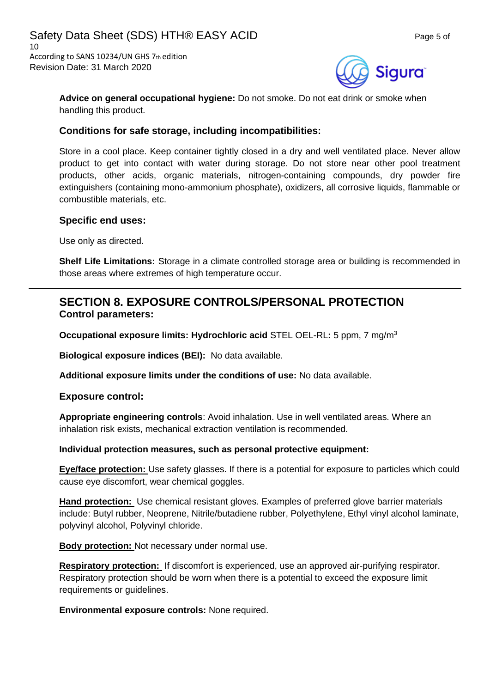

**Advice on general occupational hygiene:** Do not smoke. Do not eat drink or smoke when handling this product.

### **Conditions for safe storage, including incompatibilities:**

Store in a cool place. Keep container tightly closed in a dry and well ventilated place. Never allow product to get into contact with water during storage. Do not store near other pool treatment products, other acids, organic materials, nitrogen-containing compounds, dry powder fire extinguishers (containing mono-ammonium phosphate), oxidizers, all corrosive liquids, flammable or combustible materials, etc.

### **Specific end uses:**

Use only as directed.

**Shelf Life Limitations:** Storage in a climate controlled storage area or building is recommended in those areas where extremes of high temperature occur.

# **SECTION 8. EXPOSURE CONTROLS/PERSONAL PROTECTION Control parameters:**

**Occupational exposure limits: Hydrochloric acid** STEL OEL-RL**:** 5 ppm, 7 mg/m<sup>3</sup>

**Biological exposure indices (BEI):** No data available.

**Additional exposure limits under the conditions of use:** No data available.

**Exposure control:**

**Appropriate engineering controls**: Avoid inhalation. Use in well ventilated areas. Where an inhalation risk exists, mechanical extraction ventilation is recommended.

### **Individual protection measures, such as personal protective equipment:**

**Eye/face protection:** Use safety glasses. If there is a potential for exposure to particles which could cause eye discomfort, wear chemical goggles.

**Hand protection:** Use chemical resistant gloves. Examples of preferred glove barrier materials include: Butyl rubber, Neoprene, Nitrile/butadiene rubber, Polyethylene, Ethyl vinyl alcohol laminate, polyvinyl alcohol, Polyvinyl chloride.

**Body protection:** Not necessary under normal use.

**Respiratory protection:** If discomfort is experienced, use an approved air-purifying respirator. Respiratory protection should be worn when there is a potential to exceed the exposure limit requirements or guidelines.

**Environmental exposure controls:** None required.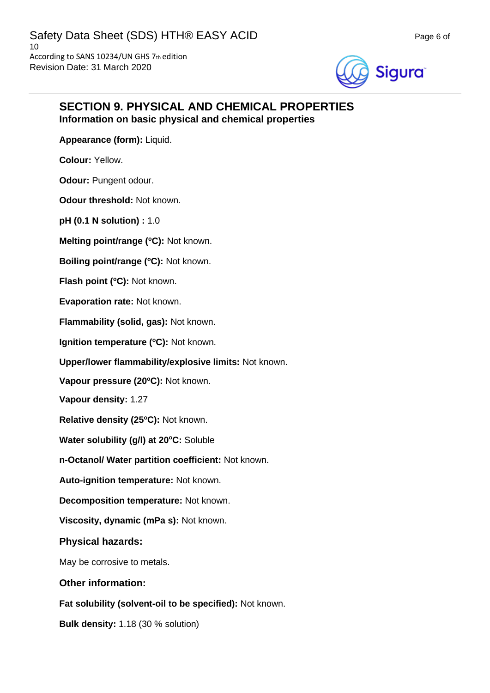

# **SECTION 9. PHYSICAL AND CHEMICAL PROPERTIES Information on basic physical and chemical properties**

**Appearance (form):** Liquid.

**Colour:** Yellow.

**Odour: Pungent odour.** 

**Odour threshold:** Not known.

**pH (0.1 N solution) :** 1.0

**Melting point/range (<sup>o</sup>C):** Not known.

**Boiling point/range (<sup>o</sup>C):** Not known.

**Flash point (°C): Not known.** 

**Evaporation rate:** Not known.

**Flammability (solid, gas):** Not known.

**Ignition temperature (°C):** Not known.

**Upper/lower flammability/explosive limits:** Not known.

**Vapour pressure (20<sup>o</sup>C):** Not known.

**Vapour density:** 1.27

**Relative density (25 <sup>o</sup>C):** Not known.

**Water solubility (g/l) at 20<sup>o</sup>C:** Soluble

**n-Octanol/ Water partition coefficient:** Not known.

**Auto-ignition temperature:** Not known.

**Decomposition temperature:** Not known.

**Viscosity, dynamic (mPa s):** Not known.

**Physical hazards:**

May be corrosive to metals.

**Other information:**

**Fat solubility (solvent-oil to be specified):** Not known.

**Bulk density:** 1.18 (30 % solution)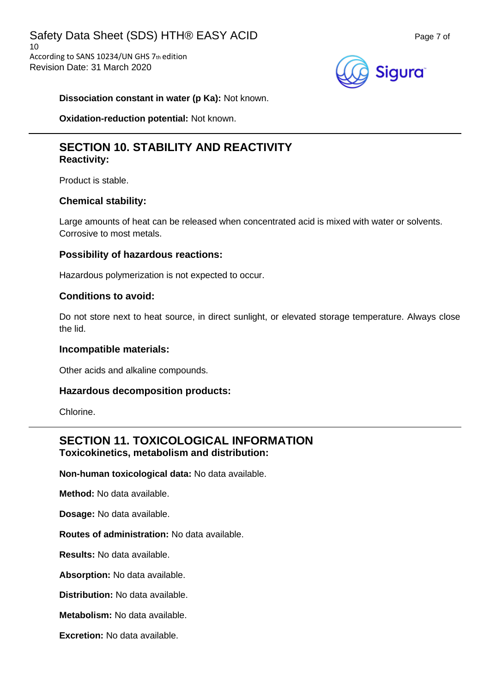

**Dissociation constant in water (p Ka):** Not known.

**Oxidation-reduction potential:** Not known.

# **SECTION 10. STABILITY AND REACTIVITY Reactivity:**

Product is stable.

### **Chemical stability:**

Large amounts of heat can be released when concentrated acid is mixed with water or solvents. Corrosive to most metals.

### **Possibility of hazardous reactions:**

Hazardous polymerization is not expected to occur.

### **Conditions to avoid:**

Do not store next to heat source, in direct sunlight, or elevated storage temperature. Always close the lid.

### **Incompatible materials:**

Other acids and alkaline compounds.

### **Hazardous decomposition products:**

Chlorine.

# **SECTION 11. TOXICOLOGICAL INFORMATION Toxicokinetics, metabolism and distribution:**

**Non-human toxicological data:** No data available.

**Method:** No data available.

**Dosage:** No data available.

**Routes of administration:** No data available.

**Results:** No data available.

**Absorption:** No data available.

**Distribution:** No data available.

**Metabolism:** No data available.

**Excretion:** No data available.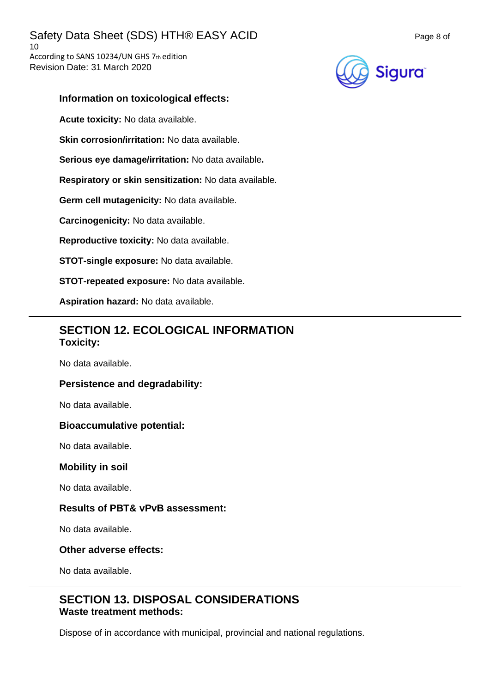

### **Information on toxicological effects:**

**Acute toxicity:** No data available.

**Skin corrosion/irritation:** No data available.

**Serious eye damage/irritation:** No data available**.**

**Respiratory or skin sensitization:** No data available.

**Germ cell mutagenicity:** No data available.

**Carcinogenicity:** No data available.

**Reproductive toxicity:** No data available.

**STOT-single exposure:** No data available.

**STOT-repeated exposure:** No data available.

**Aspiration hazard:** No data available.

# **SECTION 12. ECOLOGICAL INFORMATION Toxicity:**

No data available.

### **Persistence and degradability:**

No data available.

### **Bioaccumulative potential:**

No data available.

### **Mobility in soil**

No data available.

### **Results of PBT& vPvB assessment:**

No data available.

### **Other adverse effects:**

No data available.

# **SECTION 13. DISPOSAL CONSIDERATIONS Waste treatment methods:**

Dispose of in accordance with municipal, provincial and national regulations.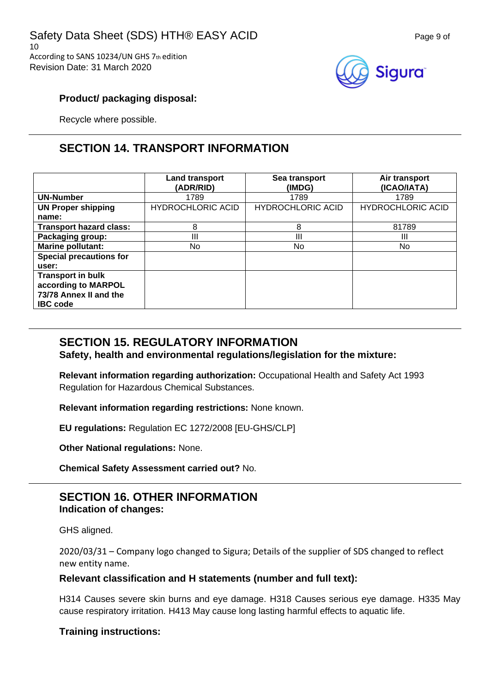

### **Product/ packaging disposal:**

Recycle where possible.

# **SECTION 14. TRANSPORT INFORMATION**

|                                | <b>Land transport</b><br>(ADR/RID) | Sea transport<br>(IMDG)  | Air transport<br>(ICAO/IATA) |
|--------------------------------|------------------------------------|--------------------------|------------------------------|
| <b>UN-Number</b>               | 1789                               | 1789                     | 1789                         |
| <b>UN Proper shipping</b>      | <b>HYDROCHLORIC ACID</b>           | <b>HYDROCHLORIC ACID</b> | <b>HYDROCHLORIC ACID</b>     |
| name:                          |                                    |                          |                              |
| <b>Transport hazard class:</b> | 8                                  | 8                        | 81789                        |
| Packaging group:               | Ш                                  | Ш                        | Ш                            |
| Marine pollutant:              | No                                 | No                       | No.                          |
| <b>Special precautions for</b> |                                    |                          |                              |
| user:                          |                                    |                          |                              |
| <b>Transport in bulk</b>       |                                    |                          |                              |
| according to MARPOL            |                                    |                          |                              |
| 73/78 Annex II and the         |                                    |                          |                              |
| <b>IBC</b> code                |                                    |                          |                              |

# **SECTION 15. REGULATORY INFORMATION**

**Safety, health and environmental regulations/legislation for the mixture:**

**Relevant information regarding authorization:** Occupational Health and Safety Act 1993 Regulation for Hazardous Chemical Substances.

**Relevant information regarding restrictions:** None known.

**EU regulations:** Regulation EC 1272/2008 [EU-GHS/CLP]

**Other National regulations:** None.

**Chemical Safety Assessment carried out?** No.

# **SECTION 16. OTHER INFORMATION Indication of changes:**

GHS aligned.

2020/03/31 – Company logo changed to Sigura; Details of the supplier of SDS changed to reflect new entity name.

### **Relevant classification and H statements (number and full text):**

H314 Causes severe skin burns and eye damage. H318 Causes serious eye damage. H335 May cause respiratory irritation. H413 May cause long lasting harmful effects to aquatic life.

# **Training instructions:**